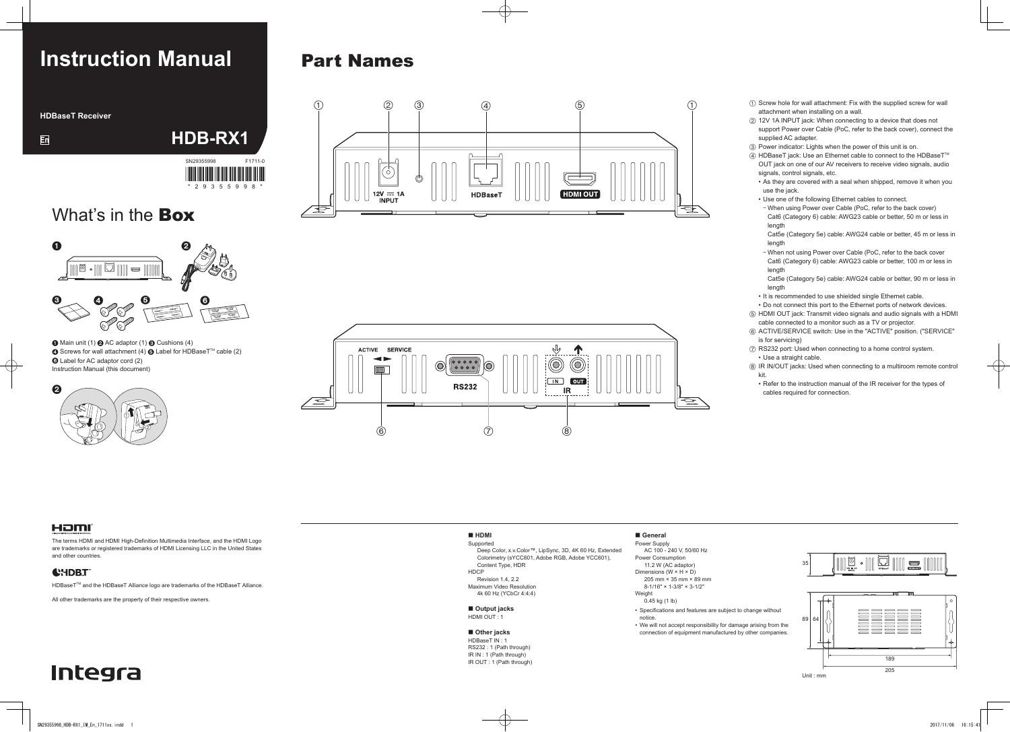# **Instruction Manual**

**HDBaseT** Receiver

- $(1)$  Screw hole for wall attachment: Fix with the supplied screw for wall attachment when installing on a wall.
- $Q$  12V 1A INPUT jack: When connecting to a device that does not support Power over Cable (PoC, refer to the back cover), connect the supplied AC adapter.
- $\circled{3}$  Power indicator: Lights when the power of this unit is on.
- $\overline{a}$  HDBaseT jack: Use an Ethernet cable to connect to the HDBaseT<sup>TM</sup> OUT jack on one of our AV receivers to receive video signals, audio signals, control signals, etc.
- As they are covered with a seal when shipped, remove it when you use the jack
- Use one of the following Ethernet cables to connect.
- When using Power over Cable (PoC, refer to the back cover) Cat6 (Category 6) cable: AWG23 cable or better, 50 m or less in length
- Cat5e (Category 5e) cable: AWG24 cable or better, 45 m or less in length
- When not using Power over Cable (PoC, refer to the back cover Cat6 (Category 6) cable: AWG23 cable or better, 100 m or less in length

Cat5e (Category 5e) cable: AWG24 cable or better, 90 m or less in length

- It is recommended to use shielded single Ethernet cable.
- Do not connect this port to the Ethernet ports of network devices.
- $(5)$  HDMI OUT jack: Transmit video signals and audio signals with a HDMI cable connected to a monitor such as a TV or projector.
- $(6)$  ACTIVE/SERVICE switch: Use in the "ACTIVE" position. ("SERVICE" is for servicing)
- $\sqrt{2}$  RS232 port: Used when connecting to a home control system. • Use a straight cable.
- $@$  IR IN/OUT jacks: Used when connecting to a multiroom remote control kit.
- Refer to the instruction manual of the IR receiver for the types of cables required for connection.

Supported ..<br>Deep Color, x.v.Color™, LipSync, 3D, 4K 60 Hz, Extended Colorimetry (sYCC601, Adobe RGB, Adobe YCC601), Content Type, HDR **HDCP** 

Revision 1.4, 2.2 **Maximum Video Resolution** 4k 60 Hz (YCbCr 4:4:4)

#### $\blacksquare$  Output jacks HDMI OUT: 1

#### $\blacksquare$  Other jacks

 $HDRaseT IN : 1$ RS232: 1 (Path through)  $IR IN: 1 (Path through)$ IR OUT : 1 (Path through)

#### • Specifications and features are subject to change without .notice

• We will not accept responsibility for damage arising from the connection of equipment manufactured by other companies.

## **Integra**



### HƏMI

The terms HDMI and HDMI High-Definition Multimedia Interface, and the HDMI Logo are trademarks or registered trademarks of HDMI Licensing LLC in the United States and other countries.

### **CHDBT**

HDBaseT™ and the HDBaseT Alliance logo are trademarks of the HDBaseT Alliance.

All other trademarks are the property of their respective owners.



### **HDMI**

### **General**

Power Supply AC 100 - 240 V, 50/60 Hz Power Consumption 11.2 W (AC adaptor) Dimensions ( $W \times H \times D$ ) 205 mm  $\times$  35 mm  $\times$  89 mm  $8-1/16" \times 1-3/8" \times 3-1/2"$ Weight  $0.45$  kg  $(1$  lb)





What's in the **Box** 

SN29355998 F1711-0

HDB-RX1

 $*$  29355998 $*$ 

<u> III MANA MANA MANA MANA MA</u>

 $\bigodot$  Main unit (1)  $\bigodot$  AC adaptor (1)  $\bigodot$  Cushions (4) **◯** Screws for wall attachment (4)  $\bigodot$  Label for HDBaseT<sup>™</sup> cable (2) **6** Label for AC adaptor cord (2) Instruction Manual (this document)

➀ ➁  $\boldsymbol{\Omega}$ 

**En**

## **Part Names**